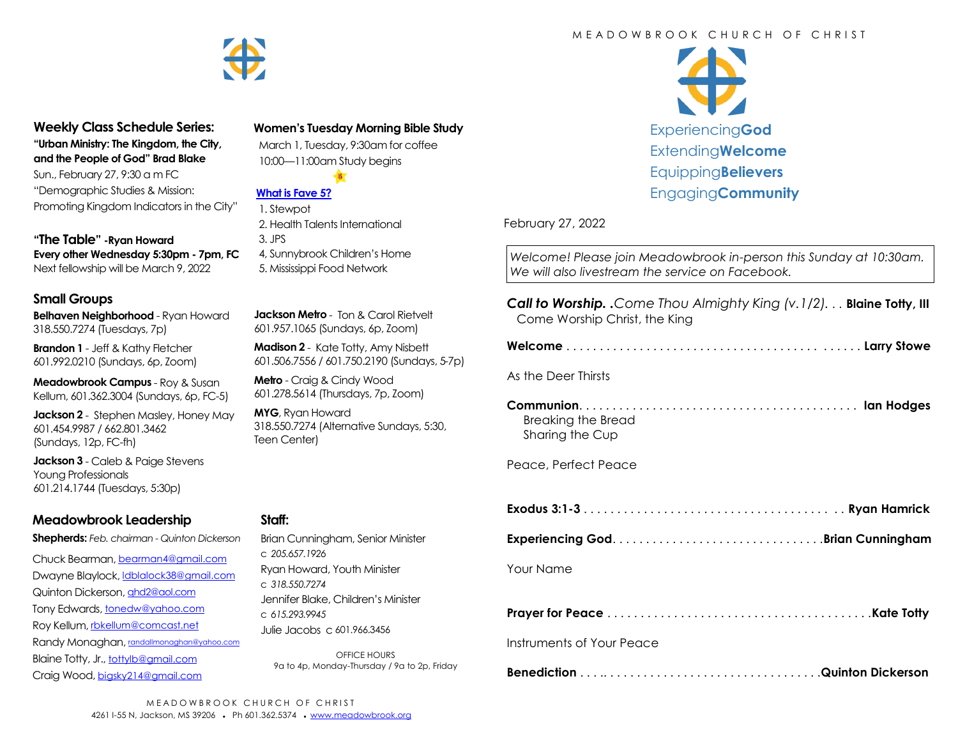

#### **Weekly Class Schedule Series: "Urban Ministry: The Kingdom, the City,**

**and the People of God" Brad Blake** Sun., February 27, 9:30 a m FC "Demographic Studies & Mission: Promoting Kingdom Indicators in the City"

**"The Table" -Ryan Howard Every other Wednesday 5:30pm - 7pm, FC** Next fellowship will be March 9, 2022

#### **Small Groups**

**Belhaven Neighborhood** - Ryan Howard 318.550.7274 (Tuesdays, 7p)

**Brandon 1** - Jeff & Kathy Fletcher 601.992.0210 (Sundays, 6p, Zoom)

**Meadowbrook Campus** - Roy & Susan Kellum, 601.362.3004 (Sundays, 6p, FC-5)

**Jackson 2** - Stephen Masley, Honey May 601.454.9987 / 662.801.3462 (Sundays, 12p, FC-fh)

**Jackson 3** - Caleb & Paige Stevens Young Professionals 601.214.1744 (Tuesdays, 5:30p)

# **Meadowbrook Leadership**

**Shepherds:** *Feb. chairman - Quinton Dickerson*

Chuck Bearman, [bearman4@gmail.com](mailto:bearman4@gmail.com) Dwayne Blaylock, [ldblalock38@gmail.com](mailto:ldblaylock38@gmail.com) Quinton Dickerson, [qhd2@aol.com](mailto:qhd2@aol.com) Tony Edwards, [tonedw@yahoo.com](mailto:tonedw@yahoo.com) Roy Kellum, [rbkellum@comcast.net](mailto:rbkellum@comcast.net) Randy Monaghan, [randallmonaghan@yahoo.com](mailto:randallmonaghan@yahoo.com) Blaine Totty, Jr., [tottylb@gmail.com](mailto:tottylb@gmail.com) Craig Wood, [bigsky214@gmail.com](mailto:bigsky214@gmail.com)

#### **Women's Tuesday Morning Bible Study**

 March 1, Tuesday, 9:30am for coffee 10:00—11:00am Study begins

#### **[What is Fave 5?](https://meadowbrook.ccbchurch.com/group_detail.php?group_id=131)**

 1. Stewpot 2. Health Talents International 3. JPS 4, Sunnybrook Children's Home 5. Mississippi Food Network

**Jackson Metro** - Ton & Carol Rietvelt 601.957.1065 (Sundays, 6p, Zoom)

**Madison 2** - Kate Totty, Amy Nisbett 601.506.7556 / 601.750.2190 (Sundays, 5-7p)

**Metro** - Craig & Cindy Wood 601.278.5614 (Thursdays, 7p, Zoom)

**MYG**, Ryan Howard 318.550.7274 (Alternative Sundays, 5:30, Teen Center)

#### **Staff:**

| Brian Cunningham, Senior Minister   |
|-------------------------------------|
| C.205657.1926                       |
| Ryan Howard, Youth Minister         |
| C.318.550.7274                      |
| Jennifer Blake, Children's Minister |
| C.615.293.9945                      |
| Julie Jacobs c 601.966.3456         |

OFFICE HOURS 9a to 4p, Monday-Thursday / 9a to 2p, Friday



February 27, 2022

*Welcome! Please join Meadowbrook in-person this Sunday at 10:30am. We will also livestream the service on Facebook.*

| <b>Call to Worship.</b> .Come Thou Almighty King (v.1/2) <b>Blaine Totty</b> , III<br>Come Worship Christ, the King |
|---------------------------------------------------------------------------------------------------------------------|
|                                                                                                                     |
| As the Deer Thirsts                                                                                                 |
| <b>Breaking the Bread</b><br>Sharing the Cup                                                                        |
| Peace, Perfect Peace                                                                                                |
|                                                                                                                     |
|                                                                                                                     |
| Your Name                                                                                                           |
|                                                                                                                     |
| Instruments of Your Peace                                                                                           |
|                                                                                                                     |

# M F A D O W B R O O K C H U R C H O F C H R I S T